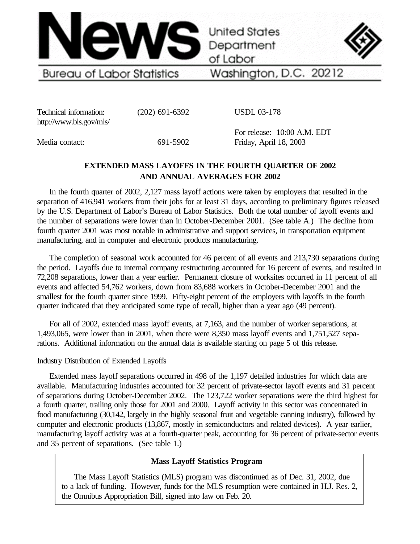

Technical information: (202) 691-6392 http://www.bls.gov/mls/

USDL 03-178

Media contact: 691-5902

For release: 10:00 A.M. EDT Friday, April 18, 2003

# **EXTENDED MASS LAYOFFS IN THE FOURTH QUARTER OF 2002 AND ANNUAL AVERAGES FOR 2002**

In the fourth quarter of 2002, 2,127 mass layoff actions were taken by employers that resulted in the separation of 416,941 workers from their jobs for at least 31 days, according to preliminary figures released by the U.S. Department of Labor's Bureau of Labor Statistics. Both the total number of layoff events and the number of separations were lower than in October-December 2001. (See table A.) The decline from fourth quarter 2001 was most notable in administrative and support services, in transportation equipment manufacturing, and in computer and electronic products manufacturing.

The completion of seasonal work accounted for 46 percent of all events and 213,730 separations during the period. Layoffs due to internal company restructuring accounted for 16 percent of events, and resulted in 72,208 separations, lower than a year earlier. Permanent closure of worksites occurred in 11 percent of all events and affected 54,762 workers, down from 83,688 workers in October-December 2001 and the smallest for the fourth quarter since 1999. Fifty-eight percent of the employers with layoffs in the fourth quarter indicated that they anticipated some type of recall, higher than a year ago (49 percent).

For all of 2002, extended mass layoff events, at 7,163, and the number of worker separations, at 1,493,065, were lower than in 2001, when there were 8,350 mass layoff events and 1,751,527 separations. Additional information on the annual data is available starting on page 5 of this release.

# Industry Distribution of Extended Layoffs

Extended mass layoff separations occurred in 498 of the 1,197 detailed industries for which data are available. Manufacturing industries accounted for 32 percent of private-sector layoff events and 31 percent of separations during October-December 2002. The 123,722 worker separations were the third highest for a fourth quarter, trailing only those for 2001 and 2000. Layoff activity in this sector was concentrated in food manufacturing (30,142, largely in the highly seasonal fruit and vegetable canning industry), followed by computer and electronic products (13,867, mostly in semiconductors and related devices). A year earlier, manufacturing layoff activity was at a fourth-quarter peak, accounting for 36 percent of private-sector events and 35 percent of separations. (See table 1.)

# **Mass Layoff Statistics Program**

The Mass Layoff Statistics (MLS) program was discontinued as of Dec. 31, 2002, due to a lack of funding. However, funds for the MLS resumption were contained in H.J. Res. 2, the Omnibus Appropriation Bill, signed into law on Feb. 20.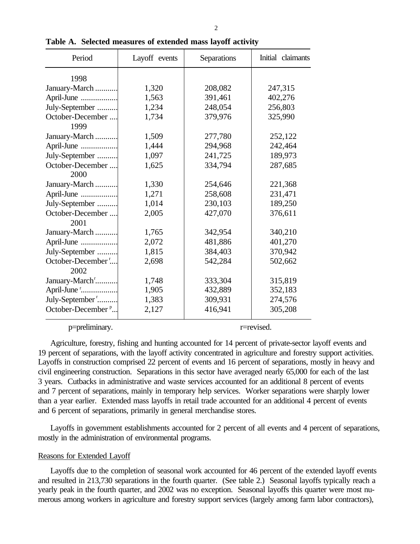| Period                        | Layoff events | Separations | Initial claimants |
|-------------------------------|---------------|-------------|-------------------|
| 1998                          |               |             |                   |
| January-March                 | 1,320         | 208,082     | 247,315           |
| April-June                    | 1,563         | 391,461     | 402,276           |
| July-September                | 1,234         | 248,054     | 256,803           |
| October-December              | 1,734         | 379,976     | 325,990           |
| 1999                          |               |             |                   |
| January-March                 | 1,509         | 277,780     | 252,122           |
| April-June                    | 1,444         | 294,968     | 242,464           |
| July-September                | 1,097         | 241,725     | 189,973           |
| October-December              | 1,625         | 334,794     | 287,685           |
| 2000                          |               |             |                   |
| January-March                 | 1,330         | 254,646     | 221,368           |
| April-June                    | 1,271         | 258,608     | 231,471           |
| July-September                | 1,014         | 230,103     | 189,250           |
| October-December              | 2,005         | 427,070     | 376,611           |
| 2001                          |               |             |                   |
| January-March                 | 1,765         | 342,954     | 340,210           |
| April-June                    | 2,072         | 481,886     | 401,270           |
| July-September                | 1,815         | 384,403     | 370,942           |
| October-December <sup>r</sup> | 2,698         | 542,284     | 502,662           |
| 2002                          |               |             |                   |
| January-March'                | 1,748         | 333,304     | 315,819           |
| April-June "                  | 1,905         | 432,889     | 352,183           |
| July-September <sup>r</sup>   | 1,383         | 309,931     | 274,576           |
| October-December <sup>p</sup> | 2,127         | 416,941     | 305,208           |
|                               |               |             |                   |

**Table A. Selected measures of extended mass layoff activity**

p=preliminary. r=revised.

Agriculture, forestry, fishing and hunting accounted for 14 percent of private-sector layoff events and 19 percent of separations, with the layoff activity concentrated in agriculture and forestry support activities. Layoffs in construction comprised 22 percent of events and 16 percent of separations, mostly in heavy and civil engineering construction. Separations in this sector have averaged nearly 65,000 for each of the last 3 years. Cutbacks in administrative and waste services accounted for an additional 8 percent of events and 7 percent of separations, mainly in temporary help services. Worker separations were sharply lower than a year earlier. Extended mass layoffs in retail trade accounted for an additional 4 percent of events and 6 percent of separations, primarily in general merchandise stores.

Layoffs in government establishments accounted for 2 percent of all events and 4 percent of separations, mostly in the administration of environmental programs.

## Reasons for Extended Layoff

Layoffs due to the completion of seasonal work accounted for 46 percent of the extended layoff events and resulted in 213,730 separations in the fourth quarter. (See table 2.) Seasonal layoffs typically reach a yearly peak in the fourth quarter, and 2002 was no exception. Seasonal layoffs this quarter were most numerous among workers in agriculture and forestry support services (largely among farm labor contractors),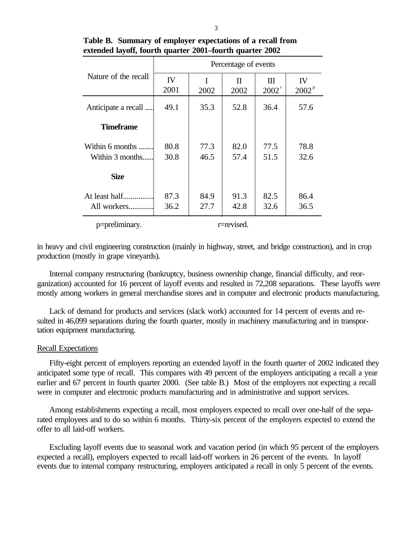|                                    | Percentage of events |              |              |               |                         |  |  |  |  |  |
|------------------------------------|----------------------|--------------|--------------|---------------|-------------------------|--|--|--|--|--|
| Nature of the recall               | IV<br>2001           | I<br>2002    | H<br>2002    | Ш<br>$2002^r$ | IV<br>2002 <sup>p</sup> |  |  |  |  |  |
| Anticipate a recall                | 49.1                 | 35.3         | 52.8         | 36.4          | 57.6                    |  |  |  |  |  |
| <b>Timeframe</b>                   |                      |              |              |               |                         |  |  |  |  |  |
| Within 6 months<br>Within 3 months | 80.8<br>30.8         | 77.3<br>46.5 | 82.0<br>57.4 | 77.5<br>51.5  | 78.8<br>32.6            |  |  |  |  |  |
| <b>Size</b>                        |                      |              |              |               |                         |  |  |  |  |  |
| At least half.<br>All workers      | 87.3<br>36.2         | 84.9<br>27.7 | 91.3<br>42.8 | 82.5<br>32.6  | 86.4<br>36.5            |  |  |  |  |  |
| p=preliminary.                     |                      |              | r=revised.   |               |                         |  |  |  |  |  |

**Table B. Summary of employer expectations of a recall from extended layoff, fourth quarter 2001–fourth quarter 2002**

in heavy and civil engineering construction (mainly in highway, street, and bridge construction), and in crop production (mostly in grape vineyards).

Internal company restructuring (bankruptcy, business ownership change, financial difficulty, and reorganization) accounted for 16 percent of layoff events and resulted in 72,208 separations. These layoffs were mostly among workers in general merchandise stores and in computer and electronic products manufacturing.

Lack of demand for products and services (slack work) accounted for 14 percent of events and resulted in 46,099 separations during the fourth quarter, mostly in machinery manufacturing and in transportation equipment manufacturing.

## Recall Expectations

Fifty-eight percent of employers reporting an extended layoff in the fourth quarter of 2002 indicated they anticipated some type of recall. This compares with 49 percent of the employers anticipating a recall a year earlier and 67 percent in fourth quarter 2000. (See table B.) Most of the employers not expecting a recall were in computer and electronic products manufacturing and in administrative and support services.

Among establishments expecting a recall, most employers expected to recall over one-half of the separated employees and to do so within 6 months. Thirty-six percent of the employers expected to extend the offer to all laid-off workers.

Excluding layoff events due to seasonal work and vacation period (in which 95 percent of the employers expected a recall), employers expected to recall laid-off workers in 26 percent of the events. In layoff events due to internal company restructuring, employers anticipated a recall in only 5 percent of the events.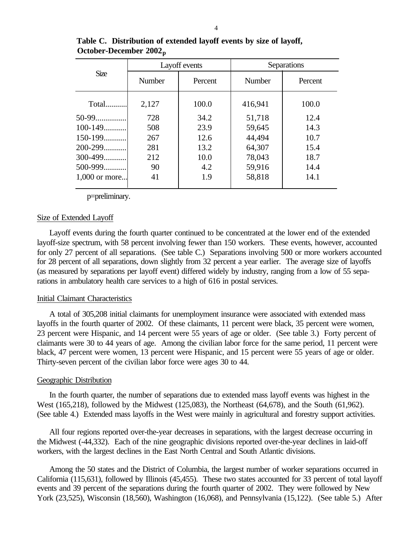|                 |        | Layoff events | Separations   |         |  |  |  |
|-----------------|--------|---------------|---------------|---------|--|--|--|
| <b>Size</b>     | Number | Percent       | <b>Number</b> | Percent |  |  |  |
| Total           | 2,127  | 100.0         | 416,941       | 100.0   |  |  |  |
| 50-99           | 728    | 34.2          | 51,718        | 12.4    |  |  |  |
| $100 - 149$     | 508    | 23.9          | 59,645        | 14.3    |  |  |  |
| $150-199$       | 267    | 12.6          | 44,494        | 10.7    |  |  |  |
| 200-299         | 281    | 13.2          | 64,307        | 15.4    |  |  |  |
| 300-499         | 212    | 10.0          | 78,043        | 18.7    |  |  |  |
| $500 - 999$     | 90     | 4.2           | 59,916        | 14.4    |  |  |  |
| $1,000$ or more | 41     | 1.9           | 58,818        | 14.1    |  |  |  |

**Table C. Distribution of extended layoff events by size of layoff, October-December 2002 p**

p=preliminary.

#### Size of Extended Layoff

Layoff events during the fourth quarter continued to be concentrated at the lower end of the extended layoff-size spectrum, with 58 percent involving fewer than 150 workers. These events, however, accounted for only 27 percent of all separations. (See table C.) Separations involving 500 or more workers accounted for 28 percent of all separations, down slightly from 32 percent a year earlier. The average size of layoffs (as measured by separations per layoff event) differed widely by industry, ranging from a low of 55 separations in ambulatory health care services to a high of 616 in postal services.

#### Initial Claimant Characteristics

A total of 305,208 initial claimants for unemployment insurance were associated with extended mass layoffs in the fourth quarter of 2002. Of these claimants, 11 percent were black, 35 percent were women, 23 percent were Hispanic, and 14 percent were 55 years of age or older. (See table 3.) Forty percent of claimants were 30 to 44 years of age. Among the civilian labor force for the same period, 11 percent were black, 47 percent were women, 13 percent were Hispanic, and 15 percent were 55 years of age or older. Thirty-seven percent of the civilian labor force were ages 30 to 44.

#### Geographic Distribution

In the fourth quarter, the number of separations due to extended mass layoff events was highest in the West (165,218), followed by the Midwest (125,083), the Northeast (64,678), and the South (61,962). (See table 4.) Extended mass layoffs in the West were mainly in agricultural and forestry support activities.

All four regions reported over-the-year decreases in separations, with the largest decrease occurring in the Midwest (-44,332). Each of the nine geographic divisions reported over-the-year declines in laid-off workers, with the largest declines in the East North Central and South Atlantic divisions.

Among the 50 states and the District of Columbia, the largest number of worker separations occurred in California (115,631), followed by Illinois (45,455). These two states accounted for 33 percent of total layoff events and 39 percent of the separations during the fourth quarter of 2002. They were followed by New York (23,525), Wisconsin (18,560), Washington (16,068), and Pennsylvania (15,122). (See table 5.) After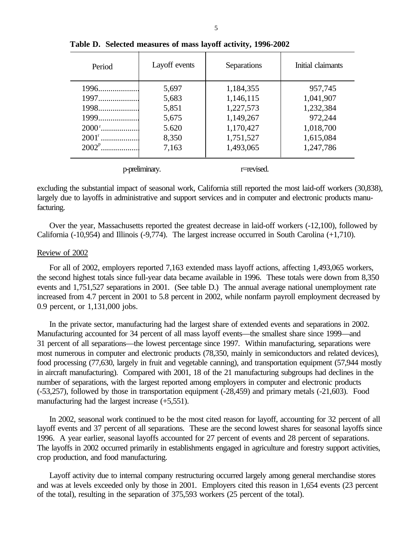| Period         | Layoff events  | Separations | Initial claimants |
|----------------|----------------|-------------|-------------------|
| 1996           | 5,697          | 1,184,355   | 957,745           |
| 1997           | 5,683          | 1,146,115   | 1,041,907         |
| 1998           | 5,851          | 1,227,573   | 1,232,384         |
| 1999           | 5,675          | 1,149,267   | 972,244           |
|                | 5.620          | 1,170,427   | 1,018,700         |
| $2001^{\rm r}$ | 8,350          | 1,751,527   | 1,615,084         |
|                | 7,163          | 1,493,065   | 1,247,786         |
|                | p-preliminary. | r=revised.  |                   |

**Table D. Selected measures of mass layoff activity, 1996-2002**

excluding the substantial impact of seasonal work, California still reported the most laid-off workers (30,838), largely due to layoffs in administrative and support services and in computer and electronic products manufacturing.

Over the year, Massachusetts reported the greatest decrease in laid-off workers (-12,100), followed by California (-10,954) and Illinois (-9,774). The largest increase occurred in South Carolina (+1,710).

## Review of 2002

For all of 2002, employers reported 7,163 extended mass layoff actions, affecting 1,493,065 workers, the second highest totals since full-year data became available in 1996. These totals were down from 8,350 events and 1,751,527 separations in 2001. (See table D.) The annual average national unemployment rate increased from 4.7 percent in 2001 to 5.8 percent in 2002, while nonfarm payroll employment decreased by 0.9 percent, or 1,131,000 jobs.

In the private sector, manufacturing had the largest share of extended events and separations in 2002. Manufacturing accounted for 34 percent of all mass layoff events—the smallest share since 1999—and 31 percent of all separations—the lowest percentage since 1997. Within manufacturing, separations were most numerous in computer and electronic products (78,350, mainly in semiconductors and related devices), food processing (77,630, largely in fruit and vegetable canning), and transportation equipment (57,944 mostly in aircraft manufacturing). Compared with 2001, 18 of the 21 manufacturing subgroups had declines in the number of separations, with the largest reported among employers in computer and electronic products (-53,257), followed by those in transportation equipment (-28,459) and primary metals (-21,603). Food manufacturing had the largest increase (+5,551).

In 2002, seasonal work continued to be the most cited reason for layoff, accounting for 32 percent of all layoff events and 37 percent of all separations. These are the second lowest shares for seasonal layoffs since 1996. A year earlier, seasonal layoffs accounted for 27 percent of events and 28 percent of separations. The layoffs in 2002 occurred primarily in establishments engaged in agriculture and forestry support activities, crop production, and food manufacturing.

Layoff activity due to internal company restructuring occurred largely among general merchandise stores and was at levels exceeded only by those in 2001. Employers cited this reason in 1,654 events (23 percent of the total), resulting in the separation of 375,593 workers (25 percent of the total).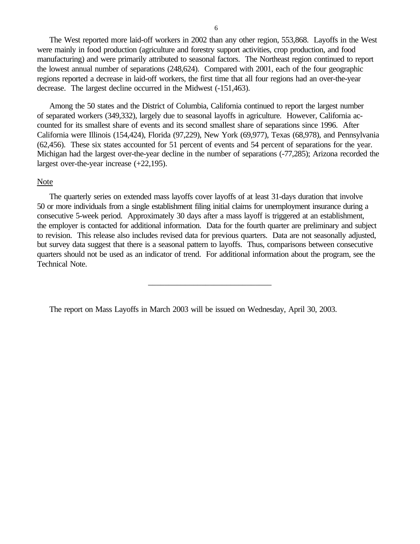The West reported more laid-off workers in 2002 than any other region, 553,868. Layoffs in the West were mainly in food production (agriculture and forestry support activities, crop production, and food manufacturing) and were primarily attributed to seasonal factors. The Northeast region continued to report the lowest annual number of separations (248,624). Compared with 2001, each of the four geographic regions reported a decrease in laid-off workers, the first time that all four regions had an over-the-year decrease. The largest decline occurred in the Midwest (-151,463).

Among the 50 states and the District of Columbia, California continued to report the largest number of separated workers (349,332), largely due to seasonal layoffs in agriculture. However, California accounted for its smallest share of events and its second smallest share of separations since 1996. After California were Illinois (154,424), Florida (97,229), New York (69,977), Texas (68,978), and Pennsylvania (62,456). These six states accounted for 51 percent of events and 54 percent of separations for the year. Michigan had the largest over-the-year decline in the number of separations (-77,285); Arizona recorded the largest over-the-year increase (+22,195).

## Note

The quarterly series on extended mass layoffs cover layoffs of at least 31-days duration that involve 50 or more individuals from a single establishment filing initial claims for unemployment insurance during a consecutive 5-week period. Approximately 30 days after a mass layoff is triggered at an establishment, the employer is contacted for additional information. Data for the fourth quarter are preliminary and subject to revision. This release also includes revised data for previous quarters. Data are not seasonally adjusted, but survey data suggest that there is a seasonal pattern to layoffs. Thus, comparisons between consecutive quarters should not be used as an indicator of trend. For additional information about the program, see the Technical Note.

\_\_\_\_\_\_\_\_\_\_\_\_\_\_\_\_\_\_\_\_\_\_\_\_\_\_\_\_\_\_

The report on Mass Layoffs in March 2003 will be issued on Wednesday, April 30, 2003.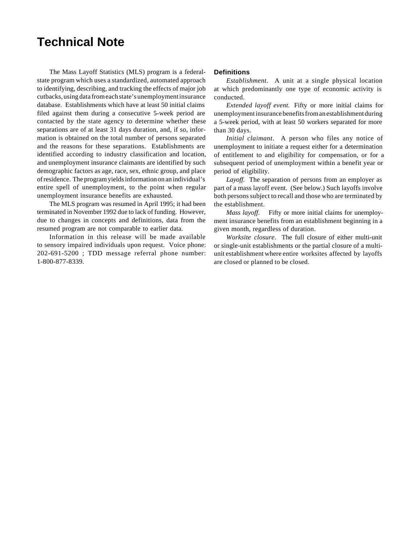# **Technical Note**

The Mass Layoff Statistics (MLS) program is a federalstate program which uses a standardized, automated approach to identifying, describing, and tracking the effects of major job cutbacks, using data from each state's unemployment insurance database. Establishments which have at least 50 initial claims filed against them during a consecutive 5-week period are contacted by the state agency to determine whether these separations are of at least 31 days duration, and, if so, information is obtained on the total number of persons separated and the reasons for these separations. Establishments are identified according to industry classification and location, and unemployment insurance claimants are identified by such demographic factors as age, race, sex, ethnic group, and place of residence. The program yields information on an individual's entire spell of unemployment, to the point when regular unemployment insurance benefits are exhausted.

The MLS program was resumed in April 1995; it had been terminated in November 1992 due to lack of funding. However, due to changes in concepts and definitions, data from the resumed program are not comparable to earlier data.

Information in this release will be made available to sensory impaired individuals upon request. Voice phone: 202-691-5200 ; TDD message referral phone number: 1-800-877-8339.

#### **Definitions**

*Establishment.* A unit at a single physical location at which predominantly one type of economic activity is conducted.

*Extended layoff event.* Fifty or more initial claims for unemployment insurance benefits from an establishment during a 5-week period, with at least 50 workers separated for more than 30 days.

*Initial claimant*. A person who files any notice of unemployment to initiate a request either for a determination of entitlement to and eligibility for compensation, or for a subsequent period of unemployment within a benefit year or period of eligibility.

*Layoff.* The separation of persons from an employer as part of a mass layoff event. (See below.) Such layoffs involve both persons subject to recall and those who are terminated by the establishment.

*Mass layoff*. Fifty or more initial claims for unemployment insurance benefits from an establishment beginning in a given month, regardless of duration.

*Worksite closure*. The full closure of either multi-unit or single-unit establishments or the partial closure of a multiunit establishment where entire worksites affected by layoffs are closed or planned to be closed.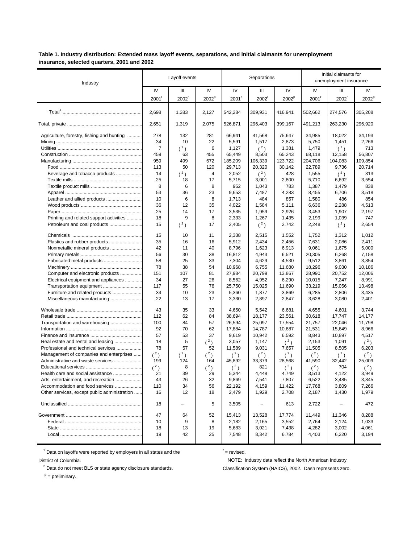Table 1. Industry distribution: Extended mass layoff events, separations, and initial claimants for unemployment insurance, selected quarters, 2001 and 2002

| Industry                                     | Layoff events |          |                   |            | Separations |                   | Initial claimants for<br>unemployment insurance |          |                   |
|----------------------------------------------|---------------|----------|-------------------|------------|-------------|-------------------|-------------------------------------------------|----------|-------------------|
|                                              | IV            | Ш        | IV                | IV         | Ш           | IV                | IV                                              | Ш        | IV                |
|                                              | 2001          | $2002^r$ | 2002 <sup>p</sup> | 2001'      | $2002^r$    | 2002 <sup>p</sup> | $2001^r$                                        | $2002^r$ | 2002 <sup>p</sup> |
|                                              | 2,698         | 1,383    | 2,127             | 542,284    | 309,931     | 416,941           | 502,662                                         | 274,576  | 305,208           |
|                                              | 2,651         | 1,319    | 2,075             | 526,871    | 296,403     | 399,167           | 491,213                                         | 263,230  | 296,920           |
| Agriculture, forestry, fishing and hunting   | 278           | 132      | 281               | 66,941     | 41,568      | 75,647            | 34,985                                          | 18,022   | 34,193            |
|                                              | 34            | 10       | 22                | 5,591      | 1,517       | 2,873             | 5,750                                           | 1,451    | 2,266             |
|                                              | 7             | (2)      | 6                 | 1,127      | $(^2)$      | 1,381             | 1,479                                           | $(^2)$   | 713               |
|                                              | 459           | 63       | 455               | 65,449     | 8,503       | 65,243            | 68.118                                          | 12,158   | 56,807            |
|                                              | 959           | 499      | 672               | 185,209    | 106,339     | 123,722           | 204,706                                         | 104,083  | 109,854           |
|                                              | 113           | 50       | 120               | 29,713     | 20,320      | 30,142            | 22,789                                          | 9,736    | 20,714            |
| Beverage and tobacco products                | 14            | $(^2)$   | 4                 | 2,052      | $({}^{2})$  | 428               | 1,555                                           | (2)      | 313               |
|                                              | 25            | 18       | 17                | 5,715      | 3,001       | 2,800             | 5,710                                           | 6,692    | 3,554             |
|                                              | 8             | 6        | 8                 | 952        | 1,043       | 783               | 1,387                                           | 1,479    | 838               |
|                                              | 53            | 36       | 23                | 9,653      | 7,487       | 4,283             | 8,455                                           | 6,706    | 3,518             |
| Leather and allied products                  | 10            | 6        | 8                 | 1,713      | 484         | 857               | 1,580                                           | 486      | 854               |
|                                              | 36            | 12       | 35                | 4,022      | 1,584       | 5,111             | 6,636                                           | 2,288    | 4,513             |
|                                              | 25            | 14       | 17                | 3,535      | 1,959       | 2,926             | 3,453                                           | 1,907    | 2,197             |
| Printing and related support activities      | 18            | 9        | 8                 | 2,333      | 1,267       | 1,435             | 2,199                                           | 1,039    | 747               |
| Petroleum and coal products                  | 15            | $(^2)$   | 17                | 2,405      | $({}^{2})$  | 2,742             | 2,248                                           | $(^2)$   | 2,654             |
|                                              | 15            | 10       | 11                | 2,338      | 2,515       | 1,552             | 1,752                                           | 1,312    | 1,012             |
| Plastics and rubber products                 | 35            | 16       | 16                | 5,912      | 2,434       | 2,456             | 7,631                                           | 2,086    | 2,411             |
| Nonmetallic mineral products                 | 42            | 11       | 40                | 8,796      | 1,623       | 6,913             | 9,061                                           | 1,675    | 5,000             |
|                                              | 56            | 30       | 38                | 16,812     | 4,943       | 6,521             | 20,305                                          | 6,268    | 7,158             |
| Fabricated metal products                    | 58            | 25       | 33                | 7,304      | 4,629       | 4,530             | 9,512                                           | 3,861    | 3,854             |
|                                              | 78            | 38       | 54                | 10,968     | 6,755       | 11,680            | 18,296                                          | 9,030    | 10,186            |
| Computer and electronic products             | 151           | 107      | 81                | 27,984     | 20,799      | 13,867            | 28,990                                          | 20,752   | 12,006            |
| Electrical equipment and appliances          | 34            | 27       | 26                | 8,562      | 4,952       | 6,290             | 10,015                                          | 7,247    | 8,991             |
| Transportation equipment                     | 117           | 55       | 76                | 25,750     | 15,025      | 11,690            | 33,219                                          | 15,056   | 13,498            |
| Furniture and related products               | 34            | 10       | 23                | 5,360      | 1,877       | 3,869             | 6,285                                           | 2,806    | 3,435             |
| Miscellaneous manufacturing                  | 22            | 13       | 17                | 3,330      | 2,897       | 2,847             | 3,628                                           | 3,080    | 2,401             |
|                                              | 43            | 35       | 33                | 4,650      | 5,542       | 6,681             | 4,655                                           | 4,601    | 3,744             |
|                                              | 112           | 62       | 84                | 38,694     | 18,177      | 23,561            | 30,618                                          | 17,747   | 14,177            |
| Transportation and warehousing               | 100           | 84       | 57                | 26,594     | 25,097      | 17,554            | 21,757                                          | 22,046   | 11,798            |
|                                              | 92            | 70       | 62                | 17,884     | 14,787      | 10,687            | 21,531                                          | 15,649   | 8,966             |
|                                              | 57            | 53       | 37                | 9,619      | 10,942      | 6,592             | 8,843                                           | 10,897   | 4,517             |
| Real estate and rental and leasing           | 18            | 5        | $(^2)$            | 3,057      | 1,147       | $(^2)$            | 2,153                                           | 1,091    | $(^2)$            |
| Professional and technical services          | 78            | 57       | 52                | 11,589     | 9,031       | 7,657             | 11,505                                          | 8,505    | 6,203             |
| Management of companies and enterprises      | $(^2)$        | $(^2)$   | $(^2)$            | $({}^{2})$ | $({}^{2})$  | $({}^{2})$        | $(^2)$                                          | $(^2)$   | $(^2)$            |
| Administrative and waste services            | 199           | 124      | 164               | 45,892     | 33,379      | 28,568            | 41,590                                          | 32,442   | 25,009            |
|                                              | $(^2)$        | 8        | $(^2)$            | $(^2)$     | 821         | $(^2)$            | $(^2)$                                          | 704      | $(^2)$            |
| Health care and social assistance            | 21            | 39       | 29                | 5,344      | 4,448       | 4,749             | 3,513                                           | 4,122    | 3,949             |
| Arts, entertainment, and recreation          | 43            | 26       | 32                | 9,869      | 7,541       | 7,807             | 6,522                                           | 3,485    | 3,845             |
| Accommodation and food services              | 110           | 34       | 56                | 22,192     | 4,159       | 11,422            | 17,768                                          | 3,809    | 7,266             |
| Other services, except public administration | 16            | 12       | 18                | 2,479      | 1,929       | 2,708             | 2,187                                           | 1,430    | 1,979             |
|                                              | 18            | -        | 5                 | 3,505      | -           | 613               | 2,722                                           |          | 472               |
|                                              | 47            | 64       | 52                | 15,413     | 13,528      | 17,774            | 11,449                                          | 11,346   | 8,288             |
|                                              | 10            | 9        | 8                 | 2,182      | 2,165       | 3,552             | 2,764                                           | 2,124    | 1,033             |
|                                              | 18            | 13       | 19                | 5,683      | 3,021       | 7,438             | 4,282                                           | 3,002    | 4,061             |
|                                              | 19            | 42       | 25                | 7,548      | 8,342       | 6,784             | 4,403                                           | 6,220    | 3,194             |

 $1$  Data on layoffs were reported by employers in all states and the

 $r =$  revised.

District of Columbia.

 $2$  Data do not meet BLS or state agency disclosure standards.

NOTE: Industry data reflect the North American Industry Classification System (NAICS), 2002. Dash represents zero.

 $P =$  preliminary.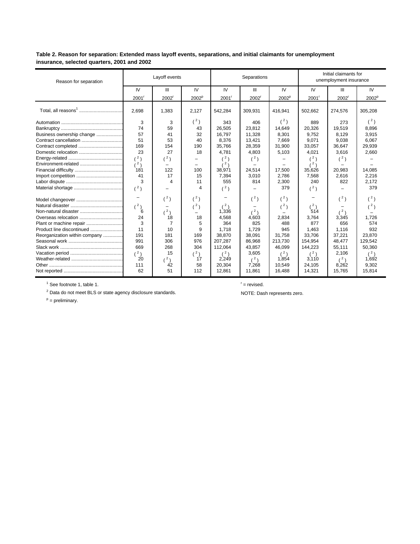Table 2. Reason for separation: Extended mass layoff events, separations, and initial claimants for unemployment insurance, selected quarters, 2001 and 2002

| Reason for separation         | Layoff events            |                          |                   |          | Separations       |                   | Initial claimants for<br>unemployment insurance |                |                   |
|-------------------------------|--------------------------|--------------------------|-------------------|----------|-------------------|-------------------|-------------------------------------------------|----------------|-------------------|
|                               | IV                       | Ш                        | IV                | IV       | Ш                 | <b>IV</b>         | IV                                              | $\mathbf{III}$ | IV                |
|                               | $2001$ <sup>r</sup>      | $2002^r$                 | 2002 <sup>p</sup> | $2001^r$ | 2002 <sup>r</sup> | 2002 <sup>p</sup> | 2001'                                           | $2002^r$       | 2002 <sup>p</sup> |
|                               | 2.698                    | 1,383                    | 2.127             | 542,284  | 309,931           | 416,941           | 502.662                                         | 274,576        | 305,208           |
|                               | 3                        | 3                        | $(^2)$            | 343      | 406               | (3)               | 889                                             | 273            | (3)               |
|                               | 74                       | 59                       | 43                | 26,505   | 23,812            | 14,649            | 20,326                                          | 19,519         | 8,896             |
| Business ownership change     | 57                       | 41                       | 32                | 16.797   | 11.328            | 8,301             | 9.752                                           | 8.129          | 3,915             |
| Contract cancellation         | 51                       | 53                       | 40                | 8,376    | 13,421            | 7.669             | 9,071                                           | 9,038          | 6,067             |
|                               | 169                      | 154                      | 190               | 35,766   | 28,359            | 31,900            | 33,057                                          | 36,647         | 29,939            |
| Domestic relocation           | 23                       | 27                       | 18                | 4,781    | 4,803             | 5,103             | 4,021                                           | 3,616          | 2,660             |
|                               | (2)                      | $(^{2})$                 |                   | (2)      | (3)               |                   | (2)                                             | (3)            |                   |
|                               | (2)                      | $\overline{\phantom{0}}$ |                   | (2)      |                   |                   | (2)                                             |                |                   |
|                               | 181                      | 122                      | 100               | 38,971   | 24,514            | 17,500            | 35,626                                          | 20,983         | 14,085            |
|                               | 41                       | 17                       | 15                | 7,394    | 3,010             | 2,786             | 7,568                                           | 2,616          | 2,216             |
|                               | 3                        | 4                        | 11                | 555      | 814               | 2,300             | 240                                             | 822            | 2,172             |
|                               | (2)                      |                          | 4                 | $(^2)$   |                   | 379               | (2)                                             |                | 379               |
|                               | $\overline{\phantom{0}}$ | $(^2)$                   | (2)               |          | (2)               | $(^2)$            |                                                 | $(^2)$         | (3)               |
|                               | (2)                      |                          | (2)               | $(^2)$   |                   | (2)               | (3)                                             |                | (3)               |
|                               | 6                        | $(^2)$                   |                   | 1,336    | (2)               |                   | 514                                             | (2)            |                   |
| Overseas relocation           | 24                       | 18                       | 18                | 4.568    | 4.603             | 2,834             | 3.764                                           | 3,345          | 1,726             |
| Plant or machine repair       | 3                        | $\overline{7}$           | 5                 | 364      | 825               | 488               | 877                                             | 656            | 574               |
| Product line discontinued     | 11                       | 10                       | 9                 | 1.718    | 1.729             | 945               | 1,463                                           | 1,116          | 932               |
| Reorganization within company | 191                      | 181                      | 169               | 38.870   | 38,091            | 31.758            | 33,706                                          | 37,221         | 23,870            |
|                               | 991                      | 306                      | 976               | 207,287  | 86,968            | 213,730           | 154,954                                         | 48,477         | 129,542           |
|                               | 669                      | 268                      | 304               | 112,064  | 43,857            | 46,099            | 144,223                                         | 55,111         | 50,360            |
|                               | $(^2)$                   | 15                       | $^{\prime 2}$ )   | (2)      | 3,605             | (2)               | $(^2)$                                          | 2,106          | (2)               |
|                               | 20                       | $(^2)$                   | 17                | 2,249    | (2)               | 1.854             | 3.110                                           | (2)            | 1.692             |
|                               | 111                      | 42                       | 58                | 20.304   | 7,268             | 10.549            | 24,105                                          | 8,262          | 9,302             |
|                               | 62                       | 51                       | 112               | 12,861   | 11,861            | 16,488            | 14,321                                          | 15,765         | 15,814            |

 $1$  See footnote 1, table 1.

 $r =$  revised.

 $2$  Data do not meet BLS or state agency disclosure standards.

 $P =$  preliminary.

NOTE: Dash represents zero.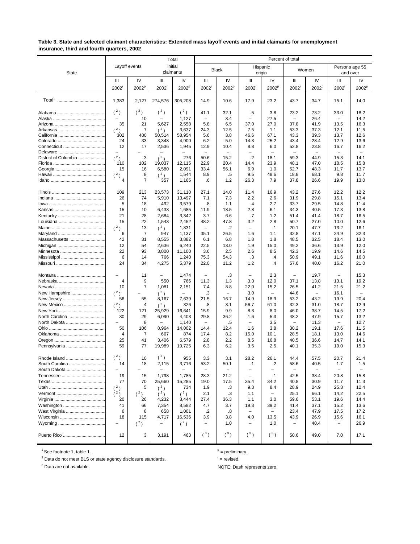#### Table 3. State and selected claimant characteristics: Extended mass layoff events and initial claimants for unemployment insurance, third and fourth quarters, 2002

|                      |                      |                      |                                   | Total                      |                                  | Percent of total         |                          |                          |                          |                                  |                                  |                        |  |
|----------------------|----------------------|----------------------|-----------------------------------|----------------------------|----------------------------------|--------------------------|--------------------------|--------------------------|--------------------------|----------------------------------|----------------------------------|------------------------|--|
| <b>State</b>         | Layoff events        |                      |                                   | initial<br>claimants       |                                  | <b>Black</b>             |                          | Hispanic<br>origin       |                          | Women                            | Persons age 55<br>and over       |                        |  |
|                      | Ш                    | IV                   | Ш                                 | IV                         | Ш                                | IV                       | Ш                        | IV                       | Ш                        | IV                               | Ш                                | IV                     |  |
|                      | $2002$ <sup>r</sup>  | 2002 <sup>p</sup>    | 2002                              | 2002 <sup>p</sup>          | $2002$ <sup><math>'</math></sup> | 2002 <sup>p</sup>        | 2002                     | 2002 <sup>p</sup>        | $2002^r$                 | 2002 <sup>p</sup>                | 2002                             | 2002 <sup>p</sup>      |  |
|                      | 1,383                | 2,127                | 274,576                           | 305,208                    | 14.9                             | 10.6                     | 17.9                     | 23.2                     | 43.7                     | 34.7                             | 15.1                             | 14.0                   |  |
|                      | $(^2)$               | $(^2)$               | $(^2)$                            | $(^2)$                     | 41.1                             | 32.1                     | .5                       | 3.8                      | 23.2                     | 73.2                             | 33.0                             | 18.2                   |  |
|                      | 35                   | 10<br>21             | 5,627                             | 1,127<br>2,558             | $\overline{\phantom{0}}$<br>5.8  | 3.4<br>6.5               | 37.0                     | 27.5<br>27.0             | 37.8                     | 26.4<br>41.9                     | 13.5                             | 14.2<br>16.3           |  |
|                      | $(^{2})$             | 7                    | (2)                               | 3,637                      | 24.3                             | 12.5                     | 7.5                      | 1.1                      | 53.3                     | 37.3                             | 12.1                             | 11.5                   |  |
|                      | 302                  | 480                  | 50,514                            | 58,954                     | 5.6                              | 3.8                      | 46.6                     | 67.1                     | 43.3                     | 39.3                             | 13.7                             | 12.6                   |  |
|                      | 24<br>12             | 33<br>17             | 3,348                             | 4,900                      | 6.2<br>12.9                      | 5.0                      | 14.3<br>8.8              | 25.2                     | 43.4                     | 28.4                             | 12.9                             | 13.6                   |  |
| Connecticut          | $\qquad \qquad -$    |                      | 2,536                             | 1,945<br>-                 | -                                | 10.4                     | $\overline{\phantom{0}}$ | 6.0<br>-                 | 52.8                     | 23.8<br>$\overline{\phantom{0}}$ | 16.7<br>$\overline{\phantom{0}}$ | 16.2<br>$\overline{a}$ |  |
| District of Columbia | (2)                  | 3                    | (2)                               | 276                        | 50.6                             | 15.2                     | $\cdot$                  | 18.1                     | 59.3                     | 44.9                             | 15.3                             | 14.1                   |  |
|                      | 110                  | 102                  | 19,037                            | 12,115                     | 22.9                             | 20.4                     | 14.4                     | 23.9                     | 48.1                     | 47.0                             | 18.5                             | 15.8                   |  |
|                      | 15<br>(2)            | 16<br>8              | 6,580<br>$(^2)$                   | 2,091<br>1,544             | 33.4<br>8.9                      | 56.1<br>.5               | 6.9<br>9.5               | 1.0<br>48.6              | 52.7<br>18.8             | 48.3<br>68.1                     | 11.7<br>9.8                      | 13.7<br>11.7           |  |
|                      | 4                    | 7                    | 357                               | 1,165                      | .6                               | 1.2                      | 26.3                     | 7.9                      | 37.8                     | 26.6                             | 19.9                             | 13.0                   |  |
|                      | 109                  | 213                  | 23,573                            | 31,110                     | 27.1                             | 14.0                     | 11.4<br>2.2              | 16.9                     | 43.2                     | 27.6                             | 12.2                             | 12.2                   |  |
|                      | 26<br>5              | 74<br>18             | 5,910<br>492                      | 13,497<br>3,579            | 7.1<br>.8                        | 7.3<br>1.1               | .4                       | 2.6<br>2.7               | 31.9<br>33.7             | 29.8<br>29.5                     | 15.1<br>14.8                     | 13.4<br>11.4           |  |
|                      | 15                   | 10                   | 6,433                             | 1,685                      | 11.9                             | 18.5                     | 2.8                      | 6.1                      | 34.3                     | 40.5                             | 17.3                             | 13.8                   |  |
|                      | 21                   | 28                   | 2,684                             | 3,342                      | 3.7                              | 6.6                      | .7                       | 1.2                      | 51.4                     | 41.4                             | 18.7                             | 16.5                   |  |
|                      | 15                   | 22                   | 1,543                             | 2,452                      | 48.2                             | 47.8                     | 3.2                      | 2.8                      | 50.7                     | 27.0                             | 10.0                             | 12.6                   |  |
|                      | (2)<br>6             | 13<br>$\overline{7}$ | (2)<br>947                        | 1,831<br>1,137             | $\overline{\phantom{0}}$<br>35.1 | $\overline{2}$<br>26.5   | 1.6                      | $\cdot$ 1<br>1.1         | 20.1<br>32.8             | 47.7<br>47.1                     | 13.2<br>24.9                     | 16.1<br>32.3           |  |
| Massachusetts        | 42                   | 31                   | 8,555                             | 3,882                      | 6.1                              | 6.8                      | 1.8                      | 1.8                      | 48.5                     | 32.5                             | 18.4                             | 13.0                   |  |
|                      | 12                   | 54                   | 2,636                             | 6,240                      | 22.5                             | 13.0                     | 1.9                      | 15.0                     | 49.2                     | 36.6                             | 13.9                             | 12.0                   |  |
|                      | 22                   | 93                   | 3,800                             | 11,100                     | 3.6                              | 2.5                      | 2.6                      | 8.5                      | 42.3                     | 19.9                             | 14.6                             | 14.5                   |  |
|                      | 6<br>24              | 14<br>34             | 766<br>4,275                      | 1,240<br>5,379             | 75.3<br>22.0                     | 54.3<br>11.2             | .3<br>1.2                | $\cdot$<br>$\cdot$       | 50.9<br>57.6             | 49.1<br>40.0                     | 11.6<br>16.2                     | 16.0<br>21.0           |  |
|                      |                      |                      |                                   |                            |                                  |                          |                          |                          |                          |                                  |                                  |                        |  |
|                      |                      | 11                   |                                   | 1,474                      | $\overline{\phantom{0}}$         | .3                       |                          | 2.3                      |                          | 19.7                             | $\overline{\phantom{0}}$         | 15.3                   |  |
|                      | $\overline{4}$<br>10 | 9<br>7               | 550<br>1,081                      | 766<br>2,151               | 11.3<br>7.4                      | 1.3<br>8.8               | 3.3<br>22.0              | 12.0<br>15.2             | 37.1<br>26.5             | 13.8<br>41.2                     | 13.1<br>21.5                     | 19.2<br>21.2           |  |
| New Hampshire        | (2)                  |                      | $(^2)$                            | $\equiv$                   | .3                               | $\overline{\phantom{a}}$ | 3.0                      | $\overline{\phantom{0}}$ | 44.6                     | ÷                                | 16.1                             |                        |  |
| New Jersey           | 56                   | 55                   | 8,167                             | 7,639                      | 21.5                             | 16.7                     | 14.9                     | 18.9                     | 53.2                     | 43.2                             | 19.9                             | 20.4                   |  |
| New Mexico           | (2)                  | 4                    | $(^2)$                            | 326                        | .8                               | 3.1                      | 56.7                     | 61.0                     | 32.3                     | 31.0                             | 18.7                             | 12.9                   |  |
| North Carolina       | 122<br>30            | 121<br>29            | 25,929<br>6,090                   | 16,641<br>4,403            | 15.9<br>29.8                     | 9.9<br>36.2              | 8.3<br>1.6               | 8.0<br>5.3               | 46.0<br>48.2             | 38.7<br>47.9                     | 14.5<br>15.7                     | 17.2<br>13.2           |  |
| North Dakota         |                      | 8                    |                                   | 1,140                      |                                  | .5                       |                          | 3.5                      |                          | 11.3                             | $\overline{\phantom{0}}$         | 12.7                   |  |
|                      | 50                   | 106                  | 8,964                             | 14,002                     | 14.4                             | 12.4                     | 1.6                      | 3.8                      | 30.2                     | 19.1                             | 17.6                             | 11.5                   |  |
|                      | 4                    | $\overline{7}$       | 667                               | 874                        | 17.4                             | 8.2                      | 15.0                     | 10.1                     | 28.5                     | 18.1                             | 13.0                             | 14.6                   |  |
| Pennsylvania         | 25<br>59             | 41<br>77             | 3,406<br>19,989                   | 6,579<br>19,725            | 2.8<br>6.3                       | 2.2<br>6.2               | 8.5<br>3.5               | 16.8<br>2.5              | 40.5<br>40.1             | 36.6<br>35.3                     | 14.7<br>19.0                     | 14.1<br>15.3           |  |
|                      |                      |                      |                                   |                            |                                  |                          |                          |                          |                          |                                  |                                  |                        |  |
| Rhode Island         | $(^2)$               | 10                   | $(^2)$                            | 955                        | 3.3                              | 3.1                      | 28.2                     | 26.1                     | 44.4                     | 57.5                             | 20.7                             | 21.4                   |  |
| South Carolina       | 14                   | 18                   | 2,115                             | 3,716                      | 53.2                             | 50.1                     | -1                       | $\cdot$                  | 58.6                     | 40.5                             | 1.7                              | 1.5                    |  |
| South Dakota         | 19                   | 15                   | $\overline{\phantom{0}}$<br>1,798 | $\qquad \qquad -$<br>1,785 | -<br>28.3                        | -<br>21.2                | -<br>$\qquad \qquad -$   | -<br>$\cdot$ 1           | -<br>42.5                | $\qquad \qquad -$<br>38.4        | -<br>20.8                        | -<br>15.8              |  |
|                      | 77                   | 70                   | 25,660                            | 15,285                     | 19.0                             | 17.5                     | 35.4                     | 34.2                     | 40.8                     | 30.9                             | 11.7                             | 11.3                   |  |
|                      | $(^{2})$             | 5                    | $(^2)$                            | 734                        | 1.9                              | .3                       | 9.3                      | 8.4                      | 28.9                     | 24.9                             | 25.3                             | 12.4                   |  |
|                      | $(^2)$               | $(^2)$               | (2)                               | $(^2)$                     | 2.1                              | .3                       | 1.1                      | $\overline{\phantom{0}}$ | 25.1                     | 66.1                             | 14.2                             | 22.5                   |  |
| Washington           | 20<br>41             | 26<br>66             | 4,232<br>7,354                    | 3,444<br>8,582             | 27.4<br>4.7                      | 36.3<br>3.7              | 1.1<br>19.3              | 3.0<br>39.2              | 59.6<br>41.4             | 53.1<br>37.1                     | 19.6<br>15.2                     | 14.4<br>13.6           |  |
| West Virginia        | 6                    | 8                    | 658                               | 1,001                      | $\cdot$                          | .8                       | $\overline{\phantom{0}}$ |                          | 23.4                     | 47.9                             | 17.5                             | 17.2                   |  |
|                      | 18                   | 115                  | 4,717                             | 16,536                     | 3.9                              | 3.8                      | 4.0                      | 13.5                     | 43.9                     | 26.9                             | 15.6                             | 16.1                   |  |
|                      | $\overline{a}$       | $(^2)$               | $\qquad \qquad -$                 | $(^2)$                     | $\qquad \qquad -$                | 1.0                      | $\qquad \qquad -$        | 1.0                      | $\overline{\phantom{a}}$ | 40.4                             | $\qquad \qquad -$                | 26.9                   |  |
|                      | 12                   | 3                    | 3,191                             | 463                        | $(^3)$                           | $(^3)$                   | $({}^3)$                 | $(^3)$                   | 50.6                     | 49.0                             | 7.0                              | 17.1                   |  |

 $1$  See footnote 1, table 1.

<sup>2</sup> Data do not meet BLS or state agency disclosure standards.

<sup>3</sup> Data are not available.

 $P =$  preliminary.

 $r =$  revised.

NOTE: Dash represents zero.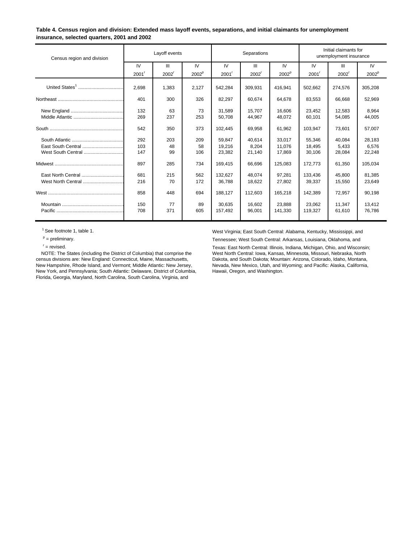#### **Table 4. Census region and division: Extended mass layoff events, separations, and initial claimants for unemployment insurance, selected quarters, 2001 and 2002**

| Census region and division               | Layoff events     |                   |                   |                            | Separations               |                            | Initial claimants for<br>unemployment insurance |                           |                           |  |
|------------------------------------------|-------------------|-------------------|-------------------|----------------------------|---------------------------|----------------------------|-------------------------------------------------|---------------------------|---------------------------|--|
|                                          | IV                | Ш                 | IV                | IV                         | Ш                         | IV                         | IV                                              | $\mathbf{III}$            | IV                        |  |
|                                          | $2001^r$          | 2002 <sup>r</sup> | 2002 <sup>p</sup> | $2001^r$                   | 2002 <sup>r</sup>         | 2002 <sup>p</sup>          | 2001'                                           | 2002                      | 2002 <sup>p</sup>         |  |
| United States <sup>1</sup>               | 2.698             | 1,383             | 2,127             | 542,284                    | 309,931                   | 416,941                    | 502,662                                         | 274,576                   | 305,208                   |  |
|                                          | 401               | 300               | 326               | 82,297                     | 60,674                    | 64,678                     | 83,553                                          | 66,668                    | 52,969                    |  |
|                                          | 132<br>269        | 63<br>237         | 73<br>253         | 31.589<br>50,708           | 15.707<br>44.967          | 16.606<br>48,072           | 23.452<br>60.101                                | 12,583<br>54,085          | 8.964<br>44,005           |  |
|                                          | 542               | 350               | 373               | 102,445                    | 69,958                    | 61,962                     | 103,947                                         | 73,601                    | 57,007                    |  |
| East South Central<br>West South Central | 292<br>103<br>147 | 203<br>48<br>99   | 209<br>58<br>106  | 59.847<br>19.216<br>23,382 | 40.614<br>8.204<br>21,140 | 33.017<br>11.076<br>17,869 | 55.346<br>18.495<br>30,106                      | 40.084<br>5.433<br>28,084 | 28,183<br>6.576<br>22,248 |  |
|                                          | 897               | 285               | 734               | 169,415                    | 66,696                    | 125,083                    | 172.773                                         | 61,350                    | 105,034                   |  |
| West North Central                       | 681<br>216        | 215<br>70         | 562<br>172        | 132.627<br>36,788          | 48.074<br>18,622          | 97.281<br>27,802           | 133.436<br>39,337                               | 45.800<br>15,550          | 81,385<br>23,649          |  |
|                                          | 858               | 448               | 694               | 188.127                    | 112.603                   | 165,218                    | 142.389                                         | 72,957                    | 90,198                    |  |
|                                          | 150<br>708        | 77<br>371         | 89<br>605         | 30.635<br>157,492          | 16,602<br>96,001          | 23.888<br>141,330          | 23.062<br>119,327                               | 11.347<br>61,610          | 13,412<br>76,786          |  |

census divisions are: New England: Connecticut, Maine, Massachusetts, New Hampshire, Rhode Island, and Vermont; Middle Atlantic: New Jersey, New York, and Pennsylvania; South Atlantic: Delaware, District of Columbia, Florida, Georgia, Maryland, North Carolina, South Carolina, Virginia, and

<sup>1</sup> See footnote 1, table 1. west Virginia; East South Central: Alabama, Kentucky, Mississippi, and  $P =$  preliminary.<br>Tennessee; West South Central: Arkansas, Louisiana, Oklahoma, and

F = revised. Texas: East North Central: Illinois, Indiana, Michigan, Ohio, and Wisconsin;<br>NOTE: The States (including the District of Columbia) that comprise the West North Central: Iowa, Kansas, Minnesota, Missouri, Nebra West North Central: Iowa, Kansas, Minnesota, Missouri, Nebraska, North Dakota, and South Dakota; Mountain: Arizona, Colorado, Idaho, Montana, Newada, New Mexico, Utah, and Wyoming; and Pacific: Alaska, California,<br>Hawaii, Oregon, and Washington.